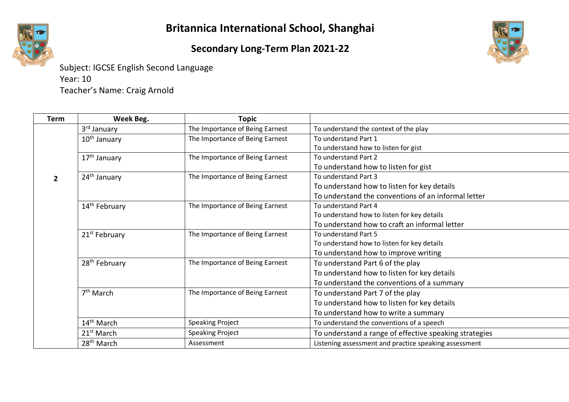

Subject: IGCSE English Second Language Year: 10 Teacher's Name: Craig Arnold

| <b>Term</b>  | Week Beg.                 | <b>Topic</b>                    |                                                        |
|--------------|---------------------------|---------------------------------|--------------------------------------------------------|
|              | 3 <sup>rd</sup> January   | The Importance of Being Earnest | To understand the context of the play                  |
|              | $10th$ January            | The Importance of Being Earnest | To understand Part 1                                   |
|              |                           |                                 | To understand how to listen for gist                   |
|              | 17 <sup>th</sup> January  | The Importance of Being Earnest | To understand Part 2                                   |
|              |                           |                                 | To understand how to listen for gist                   |
| $\mathbf{z}$ | 24 <sup>th</sup> January  | The Importance of Being Earnest | To understand Part 3                                   |
|              |                           |                                 | To understand how to listen for key details            |
|              |                           |                                 | To understand the conventions of an informal letter    |
|              | 14 <sup>th</sup> February | The Importance of Being Earnest | To understand Part 4                                   |
|              |                           |                                 | To understand how to listen for key details            |
|              |                           |                                 | To understand how to craft an informal letter          |
|              | 21 <sup>st</sup> February | The Importance of Being Earnest | To understand Part 5                                   |
|              |                           |                                 | To understand how to listen for key details            |
|              |                           |                                 | To understand how to improve writing                   |
|              | 28 <sup>th</sup> February | The Importance of Being Earnest | To understand Part 6 of the play                       |
|              |                           |                                 | To understand how to listen for key details            |
|              |                           |                                 | To understand the conventions of a summary             |
|              | 7 <sup>th</sup> March     | The Importance of Being Earnest | To understand Part 7 of the play                       |
|              |                           |                                 | To understand how to listen for key details            |
|              |                           |                                 | To understand how to write a summary                   |
|              | 14 <sup>th</sup> March    | <b>Speaking Project</b>         | To understand the conventions of a speech              |
|              | 21 <sup>st</sup> March    | <b>Speaking Project</b>         | To understand a range of effective speaking strategies |
|              | 28 <sup>th</sup> March    | Assessment                      | Listening assessment and practice speaking assessment  |

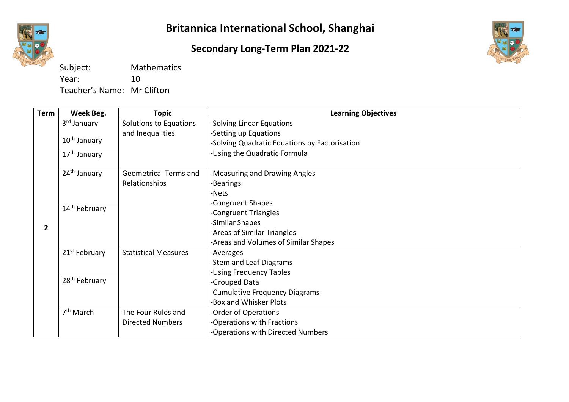

## **Secondary Long-Term Plan 2021-22**



| Subject:                   | <b>Mathematics</b> |
|----------------------------|--------------------|
| Year:                      | 10                 |
| Teacher's Name: Mr Clifton |                    |

| <b>Term</b>    | Week Beg.                 | <b>Topic</b>                 | <b>Learning Objectives</b>                    |
|----------------|---------------------------|------------------------------|-----------------------------------------------|
|                | 3 <sup>rd</sup> January   | Solutions to Equations       | -Solving Linear Equations                     |
|                |                           | and Inequalities             | -Setting up Equations                         |
|                | 10 <sup>th</sup> January  |                              | -Solving Quadratic Equations by Factorisation |
|                | 17 <sup>th</sup> January  |                              | -Using the Quadratic Formula                  |
|                | 24 <sup>th</sup> January  | <b>Geometrical Terms and</b> | -Measuring and Drawing Angles                 |
|                |                           | Relationships                | -Bearings                                     |
|                |                           |                              | -Nets                                         |
|                |                           |                              | -Congruent Shapes                             |
|                | 14 <sup>th</sup> February |                              | -Congruent Triangles                          |
| $\overline{2}$ |                           |                              | -Similar Shapes                               |
|                |                           |                              | -Areas of Similar Triangles                   |
|                |                           |                              | -Areas and Volumes of Similar Shapes          |
|                | 21 <sup>st</sup> February | <b>Statistical Measures</b>  | -Averages                                     |
|                |                           |                              | -Stem and Leaf Diagrams                       |
|                |                           |                              | -Using Frequency Tables                       |
|                | 28 <sup>th</sup> February |                              | -Grouped Data                                 |
|                |                           |                              | -Cumulative Frequency Diagrams                |
|                |                           |                              | -Box and Whisker Plots                        |
|                | 7 <sup>th</sup> March     | The Four Rules and           | -Order of Operations                          |
|                |                           | <b>Directed Numbers</b>      | -Operations with Fractions                    |
|                |                           |                              | -Operations with Directed Numbers             |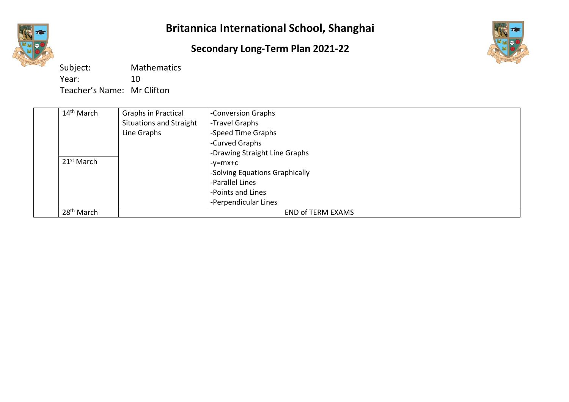

## **Secondary Long-Term Plan 2021-22**



Subject: Mathematics Year: 10 Teacher's Name: Mr Clifton

| $14th$ March           | <b>Graphs in Practical</b>     | -Conversion Graphs             |
|------------------------|--------------------------------|--------------------------------|
|                        | <b>Situations and Straight</b> | -Travel Graphs                 |
|                        | Line Graphs                    | -Speed Time Graphs             |
|                        |                                | -Curved Graphs                 |
|                        |                                | -Drawing Straight Line Graphs  |
| 21 <sup>st</sup> March |                                | -v=mx+c                        |
|                        |                                | -Solving Equations Graphically |
|                        |                                | -Parallel Lines                |
|                        |                                | -Points and Lines              |
|                        |                                | -Perpendicular Lines           |
| 28 <sup>th</sup> March |                                | <b>END of TERM EXAMS</b>       |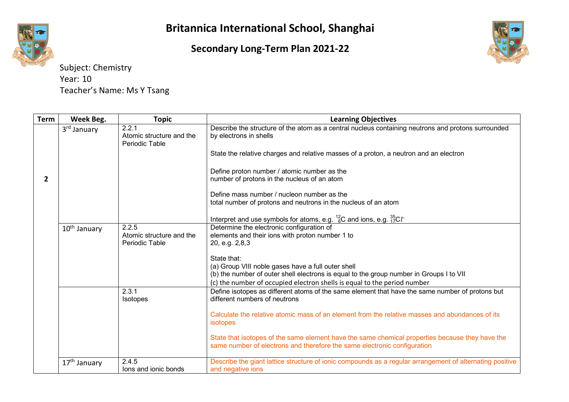## **Secondary Long-Term Plan 2021-22**



| <b>Term</b>    | Week Beg.                | <b>Topic</b>                                        | <b>Learning Objectives</b>                                                                                                                                                  |
|----------------|--------------------------|-----------------------------------------------------|-----------------------------------------------------------------------------------------------------------------------------------------------------------------------------|
|                | 3 <sup>rd</sup> January  | 2.2.1<br>Atomic structure and the<br>Periodic Table | Describe the structure of the atom as a central nucleus containing neutrons and protons surrounded<br>by electrons in shells                                                |
|                |                          |                                                     | State the relative charges and relative masses of a proton, a neutron and an electron                                                                                       |
| $\overline{2}$ |                          |                                                     | Define proton number / atomic number as the<br>number of protons in the nucleus of an atom                                                                                  |
|                |                          |                                                     | Define mass number / nucleon number as the<br>total number of protons and neutrons in the nucleus of an atom                                                                |
|                |                          |                                                     | Interpret and use symbols for atoms, e.g. $^{12}_{6}$ C and ions, e.g. $^{35}_{17}$ C $t^-$                                                                                 |
|                | 10 <sup>th</sup> January | 2.2.5<br>Atomic structure and the<br>Periodic Table | Determine the electronic configuration of<br>elements and their ions with proton number 1 to<br>20, e.g. 2,8,3                                                              |
|                |                          |                                                     | State that:                                                                                                                                                                 |
|                |                          |                                                     | (a) Group VIII noble gases have a full outer shell                                                                                                                          |
|                |                          |                                                     | (b) the number of outer shell electrons is equal to the group number in Groups I to VII<br>(c) the number of occupied electron shells is equal to the period number         |
|                |                          | 2.3.1<br>Isotopes                                   | Define isotopes as different atoms of the same element that have the same number of protons but<br>different numbers of neutrons                                            |
|                |                          |                                                     | Calculate the relative atomic mass of an element from the relative masses and abundances of its<br><i>isotopes</i>                                                          |
|                |                          |                                                     | State that isotopes of the same element have the same chemical properties because they have the<br>same number of electrons and therefore the same electronic configuration |
|                | 17 <sup>th</sup> January | 2.4.5<br>lons and ionic bonds                       | Describe the giant lattice structure of ionic compounds as a regular arrangement of alternating positive<br>and negative ions                                               |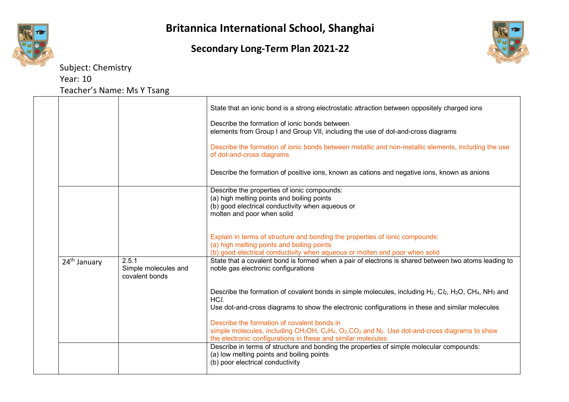





|                          |                                                 | State that an ionic bond is a strong electrostatic attraction between oppositely charged ions                                                                                                                                                                                           |
|--------------------------|-------------------------------------------------|-----------------------------------------------------------------------------------------------------------------------------------------------------------------------------------------------------------------------------------------------------------------------------------------|
|                          |                                                 | Describe the formation of ionic bonds between<br>elements from Group I and Group VII, including the use of dot-and-cross diagrams                                                                                                                                                       |
|                          |                                                 | Describe the formation of ionic bonds between metallic and non-metallic elements, including the use<br>of dot-and-cross diagrams                                                                                                                                                        |
|                          |                                                 | Describe the formation of positive ions, known as cations and negative ions, known as anions                                                                                                                                                                                            |
|                          |                                                 | Describe the properties of ionic compounds:<br>(a) high melting points and boiling points<br>(b) good electrical conductivity when aqueous or<br>molten and poor when solid                                                                                                             |
|                          |                                                 | Explain in terms of structure and bonding the properties of ionic compounds:<br>(a) high melting points and boiling points<br>(b) good electrical conductivity when aqueous or molten and poor when solid                                                                               |
| 24 <sup>th</sup> January | 2.5.1<br>Simple molecules and<br>covalent bonds | State that a covalent bond is formed when a pair of electrons is shared between two atoms leading to<br>noble gas electronic configurations                                                                                                                                             |
|                          |                                                 | Describe the formation of covalent bonds in simple molecules, including H <sub>2</sub> , C <sub>l2</sub> , H <sub>2</sub> O, CH <sub>4</sub> , NH <sub>3</sub> and<br>HCl.<br>Use dot-and-cross diagrams to show the electronic configurations in these and similar molecules.          |
|                          |                                                 | Describe the formation of covalent bonds in<br>simple molecules, including CH <sub>3</sub> OH, C <sub>2</sub> H <sub>4</sub> , O <sub>2</sub> , CO <sub>2</sub> and N <sub>2</sub> . Use dot-and-cross diagrams to show<br>the electronic configurations in these and similar molecules |
|                          |                                                 | Describe in terms of structure and bonding the properties of simple molecular compounds:<br>(a) low melting points and boiling points<br>(b) poor electrical conductivity                                                                                                               |
|                          |                                                 |                                                                                                                                                                                                                                                                                         |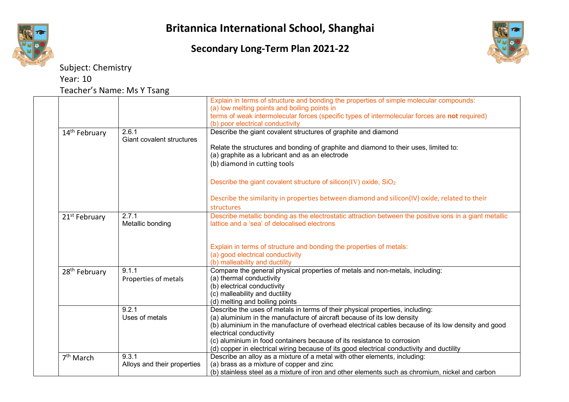



|                           |                                    | Explain in terms of structure and bonding the properties of simple molecular compounds:<br>(a) low melting points and boiling points in<br>terms of weak intermolecular forces (specific types of intermolecular forces are not required) |
|---------------------------|------------------------------------|-------------------------------------------------------------------------------------------------------------------------------------------------------------------------------------------------------------------------------------------|
|                           |                                    | (b) poor electrical conductivity                                                                                                                                                                                                          |
| 14 <sup>th</sup> February | 2.6.1<br>Giant covalent structures | Describe the giant covalent structures of graphite and diamond                                                                                                                                                                            |
|                           |                                    | Relate the structures and bonding of graphite and diamond to their uses, limited to:<br>(a) graphite as a lubricant and as an electrode                                                                                                   |
|                           |                                    | (b) diamond in cutting tools                                                                                                                                                                                                              |
|                           |                                    | Describe the giant covalent structure of silicon(IV) oxide, SiO <sub>2</sub>                                                                                                                                                              |
|                           |                                    | Describe the similarity in properties between diamond and silicon(IV) oxide, related to their                                                                                                                                             |
|                           |                                    | structures                                                                                                                                                                                                                                |
| 21 <sup>st</sup> February | 2.7.1<br>Metallic bonding          | Describe metallic bonding as the electrostatic attraction between the positive ions in a giant metallic<br>lattice and a 'sea' of delocalised electrons                                                                                   |
|                           |                                    |                                                                                                                                                                                                                                           |
|                           |                                    | Explain in terms of structure and bonding the properties of metals:                                                                                                                                                                       |
|                           |                                    | (a) good electrical conductivity                                                                                                                                                                                                          |
|                           |                                    | (b) malleability and ductility                                                                                                                                                                                                            |
| 28 <sup>th</sup> February | 9.1.1                              | Compare the general physical properties of metals and non-metals, including:                                                                                                                                                              |
|                           | Properties of metals               | (a) thermal conductivity                                                                                                                                                                                                                  |
|                           |                                    | (b) electrical conductivity                                                                                                                                                                                                               |
|                           |                                    | (c) malleability and ductility                                                                                                                                                                                                            |
|                           |                                    | (d) melting and boiling points                                                                                                                                                                                                            |
|                           | 9.2.1                              | Describe the uses of metals in terms of their physical properties, including:                                                                                                                                                             |
|                           | Uses of metals                     | (a) aluminium in the manufacture of aircraft because of its low density                                                                                                                                                                   |
|                           |                                    | (b) aluminium in the manufacture of overhead electrical cables because of its low density and good                                                                                                                                        |
|                           |                                    | electrical conductivity                                                                                                                                                                                                                   |
|                           |                                    | (c) aluminium in food containers because of its resistance to corrosion                                                                                                                                                                   |
|                           | 9.3.1                              | (d) copper in electrical wiring because of its good electrical conductivity and ductility                                                                                                                                                 |
| 7 <sup>th</sup> March     |                                    | Describe an alloy as a mixture of a metal with other elements, including:<br>(a) brass as a mixture of copper and zinc                                                                                                                    |
|                           | Alloys and their properties        | (b) stainless steel as a mixture of iron and other elements such as chromium, nickel and carbon                                                                                                                                           |
|                           |                                    |                                                                                                                                                                                                                                           |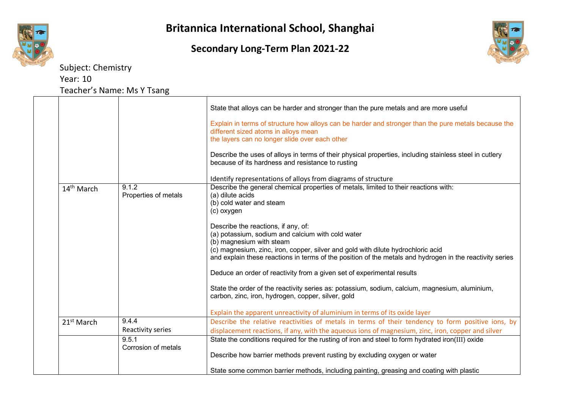





Subject: Chemistry Year: 10

Teacher's Name: Ms Y Tsang

|                        |                               | State that alloys can be harder and stronger than the pure metals and are more useful<br>Explain in terms of structure how alloys can be harder and stronger than the pure metals because the<br>different sized atoms in alloys mean<br>the layers can no longer slide over each other<br>Describe the uses of alloys in terms of their physical properties, including stainless steel in cutlery<br>because of its hardness and resistance to rusting                                                                                                                                                                                                                                                                                                                                                                                                     |
|------------------------|-------------------------------|-------------------------------------------------------------------------------------------------------------------------------------------------------------------------------------------------------------------------------------------------------------------------------------------------------------------------------------------------------------------------------------------------------------------------------------------------------------------------------------------------------------------------------------------------------------------------------------------------------------------------------------------------------------------------------------------------------------------------------------------------------------------------------------------------------------------------------------------------------------|
| 14 <sup>th</sup> March | 9.1.2<br>Properties of metals | Identify representations of alloys from diagrams of structure<br>Describe the general chemical properties of metals, limited to their reactions with:<br>(a) dilute acids<br>(b) cold water and steam<br>(c) oxygen<br>Describe the reactions, if any, of:<br>(a) potassium, sodium and calcium with cold water<br>(b) magnesium with steam<br>(c) magnesium, zinc, iron, copper, silver and gold with dilute hydrochloric acid<br>and explain these reactions in terms of the position of the metals and hydrogen in the reactivity series<br>Deduce an order of reactivity from a given set of experimental results<br>State the order of the reactivity series as: potassium, sodium, calcium, magnesium, aluminium,<br>carbon, zinc, iron, hydrogen, copper, silver, gold<br>Explain the apparent unreactivity of aluminium in terms of its oxide layer |
| 21 <sup>st</sup> March | 9.4.4<br>Reactivity series    | Describe the relative reactivities of metals in terms of their tendency to form positive ions, by<br>displacement reactions, if any, with the aqueous ions of magnesium, zinc, iron, copper and silver                                                                                                                                                                                                                                                                                                                                                                                                                                                                                                                                                                                                                                                      |
|                        | 9.5.1<br>Corrosion of metals  | State the conditions required for the rusting of iron and steel to form hydrated iron(III) oxide<br>Describe how barrier methods prevent rusting by excluding oxygen or water<br>State some common barrier methods, including painting, greasing and coating with plastic                                                                                                                                                                                                                                                                                                                                                                                                                                                                                                                                                                                   |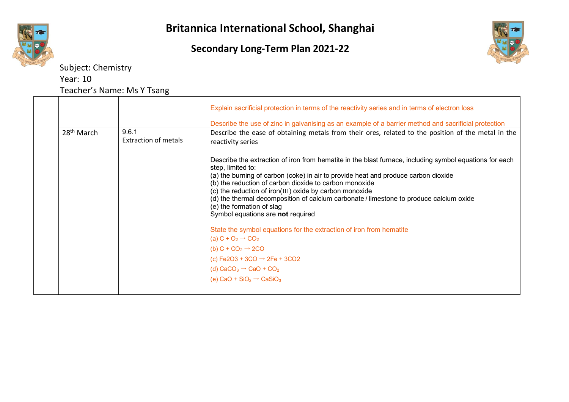





|                        |                                      | Explain sacrificial protection in terms of the reactivity series and in terms of electron loss                                                                                                                                                                                                                                                                                                                                                                                                       |
|------------------------|--------------------------------------|------------------------------------------------------------------------------------------------------------------------------------------------------------------------------------------------------------------------------------------------------------------------------------------------------------------------------------------------------------------------------------------------------------------------------------------------------------------------------------------------------|
|                        |                                      | Describe the use of zinc in galvanising as an example of a barrier method and sacrificial protection                                                                                                                                                                                                                                                                                                                                                                                                 |
| 28 <sup>th</sup> March | 9.6.1<br><b>Extraction of metals</b> | Describe the ease of obtaining metals from their ores, related to the position of the metal in the<br>reactivity series                                                                                                                                                                                                                                                                                                                                                                              |
|                        |                                      | Describe the extraction of iron from hematite in the blast furnace, including symbol equations for each<br>step, limited to:<br>(a) the burning of carbon (coke) in air to provide heat and produce carbon dioxide<br>(b) the reduction of carbon dioxide to carbon monoxide<br>(c) the reduction of iron(III) oxide by carbon monoxide<br>(d) the thermal decomposition of calcium carbonate / limestone to produce calcium oxide<br>(e) the formation of slag<br>Symbol equations are not required |
|                        |                                      | State the symbol equations for the extraction of iron from hematite                                                                                                                                                                                                                                                                                                                                                                                                                                  |
|                        |                                      | (a) $C + O_2 \rightarrow CO_2$                                                                                                                                                                                                                                                                                                                                                                                                                                                                       |
|                        |                                      | (b) $C + CO2 \rightarrow 2CO$                                                                                                                                                                                                                                                                                                                                                                                                                                                                        |
|                        |                                      | (c) Fe2O3 + 3CO $\rightarrow$ 2Fe + 3CO2                                                                                                                                                                                                                                                                                                                                                                                                                                                             |
|                        |                                      | (d) $CaCO3 \rightarrow CaO + CO2$                                                                                                                                                                                                                                                                                                                                                                                                                                                                    |
|                        |                                      | (e) CaO + SiO <sub>2</sub> $\rightarrow$ CaSiO <sub>3</sub>                                                                                                                                                                                                                                                                                                                                                                                                                                          |
|                        |                                      |                                                                                                                                                                                                                                                                                                                                                                                                                                                                                                      |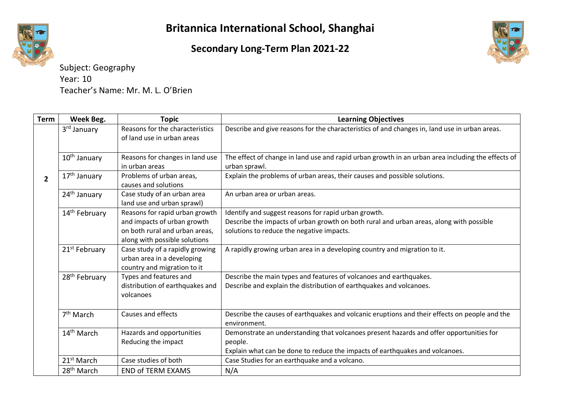## **Secondary Long-Term Plan 2021-22**



Subject: Geography Year: 10 Teacher's Name: Mr. M. L. O'Brien

| <b>Term</b>    | Week Beg.                 | <b>Topic</b>                                                                                                                     | <b>Learning Objectives</b>                                                                                                                                                                   |
|----------------|---------------------------|----------------------------------------------------------------------------------------------------------------------------------|----------------------------------------------------------------------------------------------------------------------------------------------------------------------------------------------|
|                | 3rd January               | Reasons for the characteristics<br>of land use in urban areas                                                                    | Describe and give reasons for the characteristics of and changes in, land use in urban areas.                                                                                                |
|                | $10th$ January            | Reasons for changes in land use<br>in urban areas                                                                                | The effect of change in land use and rapid urban growth in an urban area including the effects of<br>urban sprawl.                                                                           |
| $\overline{2}$ | 17 <sup>th</sup> January  | Problems of urban areas,<br>causes and solutions                                                                                 | Explain the problems of urban areas, their causes and possible solutions.                                                                                                                    |
|                | 24 <sup>th</sup> January  | Case study of an urban area<br>land use and urban sprawl)                                                                        | An urban area or urban areas.                                                                                                                                                                |
|                | 14 <sup>th</sup> February | Reasons for rapid urban growth<br>and impacts of urban growth<br>on both rural and urban areas.<br>along with possible solutions | Identify and suggest reasons for rapid urban growth.<br>Describe the impacts of urban growth on both rural and urban areas, along with possible<br>solutions to reduce the negative impacts. |
|                | 21 <sup>st</sup> February | Case study of a rapidly growing<br>urban area in a developing<br>country and migration to it                                     | A rapidly growing urban area in a developing country and migration to it.                                                                                                                    |
|                | 28 <sup>th</sup> February | Types and features and<br>distribution of earthquakes and<br>volcanoes                                                           | Describe the main types and features of volcanoes and earthquakes.<br>Describe and explain the distribution of earthquakes and volcanoes.                                                    |
|                | 7 <sup>th</sup> March     | Causes and effects                                                                                                               | Describe the causes of earthquakes and volcanic eruptions and their effects on people and the<br>environment.                                                                                |
|                | 14 <sup>th</sup> March    | Hazards and opportunities<br>Reducing the impact                                                                                 | Demonstrate an understanding that volcanoes present hazards and offer opportunities for<br>people.<br>Explain what can be done to reduce the impacts of earthquakes and volcanoes.           |
|                | 21 <sup>st</sup> March    | Case studies of both                                                                                                             | Case Studies for an earthquake and a volcano.                                                                                                                                                |
|                | 28 <sup>th</sup> March    | <b>END of TERM EXAMS</b>                                                                                                         | N/A                                                                                                                                                                                          |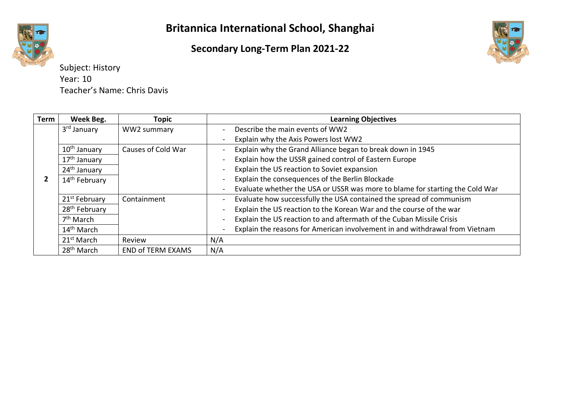# **Secondary Long-Term Plan 2021-22**



Subject: History Year: 10 Teacher's Name: Chris Davis

| <b>Term</b> | Week Beg.                 | <b>Topic</b>             | <b>Learning Objectives</b>                                                                           |
|-------------|---------------------------|--------------------------|------------------------------------------------------------------------------------------------------|
|             | 3 <sup>rd</sup> January   | WW2 summary              | Describe the main events of WW2<br>$\blacksquare$                                                    |
|             |                           |                          | Explain why the Axis Powers lost WW2                                                                 |
|             | 10 <sup>th</sup> January  | Causes of Cold War       | Explain why the Grand Alliance began to break down in 1945                                           |
|             | 17 <sup>th</sup> January  |                          | Explain how the USSR gained control of Eastern Europe                                                |
|             | 24 <sup>th</sup> January  |                          | Explain the US reaction to Soviet expansion<br>$\blacksquare$                                        |
|             | 14 <sup>th</sup> February |                          | Explain the consequences of the Berlin Blockade<br>$\blacksquare$                                    |
|             |                           |                          | Evaluate whether the USA or USSR was more to blame for starting the Cold War                         |
|             | 21 <sup>st</sup> February | Containment              | Evaluate how successfully the USA contained the spread of communism                                  |
|             | 28 <sup>th</sup> February |                          | Explain the US reaction to the Korean War and the course of the war                                  |
|             | 7 <sup>th</sup> March     |                          | Explain the US reaction to and aftermath of the Cuban Missile Crisis<br>$\qquad \qquad \blacksquare$ |
|             | 14 <sup>th</sup> March    |                          | Explain the reasons for American involvement in and withdrawal from Vietnam                          |
|             | 21 <sup>st</sup> March    | Review                   | N/A                                                                                                  |
|             | 28 <sup>th</sup> March    | <b>END of TERM EXAMS</b> | N/A                                                                                                  |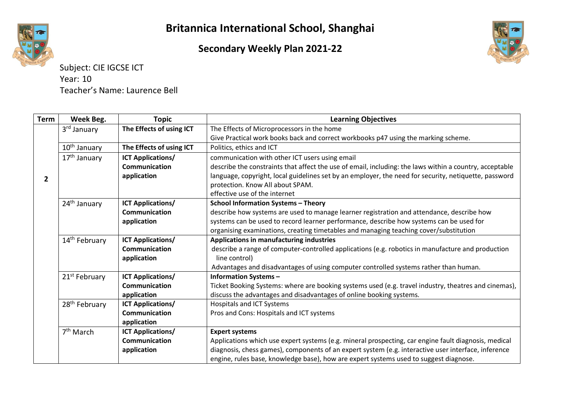

#### **Secondary Weekly Plan 2021-22**



Subject: CIE IGCSE ICT Year: 10 Teacher's Name: Laurence Bell

| Term           | Week Beg.                 | <b>Topic</b>             | <b>Learning Objectives</b>                                                                              |
|----------------|---------------------------|--------------------------|---------------------------------------------------------------------------------------------------------|
|                | 3 <sup>rd</sup> January   | The Effects of using ICT | The Effects of Microprocessors in the home                                                              |
|                |                           |                          | Give Practical work books back and correct workbooks p47 using the marking scheme.                      |
|                | 10 <sup>th</sup> January  | The Effects of using ICT | Politics, ethics and ICT                                                                                |
|                | 17 <sup>th</sup> January  | <b>ICT Applications/</b> | communication with other ICT users using email                                                          |
|                |                           | <b>Communication</b>     | describe the constraints that affect the use of email, including: the laws within a country, acceptable |
| $\overline{2}$ |                           | application              | language, copyright, local guidelines set by an employer, the need for security, netiquette, password   |
|                |                           |                          | protection. Know All about SPAM.                                                                        |
|                |                           |                          | effective use of the internet                                                                           |
|                | 24 <sup>th</sup> January  | <b>ICT Applications/</b> | <b>School Information Systems - Theory</b>                                                              |
|                |                           | <b>Communication</b>     | describe how systems are used to manage learner registration and attendance, describe how               |
|                |                           | application              | systems can be used to record learner performance, describe how systems can be used for                 |
|                |                           |                          | organising examinations, creating timetables and managing teaching cover/substitution                   |
|                | 14 <sup>th</sup> February | <b>ICT Applications/</b> | Applications in manufacturing industries                                                                |
|                |                           | <b>Communication</b>     | describe a range of computer-controlled applications (e.g. robotics in manufacture and production       |
|                |                           | application              | line control)                                                                                           |
|                |                           |                          | Advantages and disadvantages of using computer controlled systems rather than human.                    |
|                | 21 <sup>st</sup> February | <b>ICT Applications/</b> | <b>Information Systems-</b>                                                                             |
|                |                           | Communication            | Ticket Booking Systems: where are booking systems used (e.g. travel industry, theatres and cinemas),    |
|                |                           | application              | discuss the advantages and disadvantages of online booking systems.                                     |
|                | 28 <sup>th</sup> February | <b>ICT Applications/</b> | <b>Hospitals and ICT Systems</b>                                                                        |
|                |                           | <b>Communication</b>     | Pros and Cons: Hospitals and ICT systems                                                                |
|                |                           | application              |                                                                                                         |
|                | 7 <sup>th</sup> March     | <b>ICT Applications/</b> | <b>Expert systems</b>                                                                                   |
|                |                           | <b>Communication</b>     | Applications which use expert systems (e.g. mineral prospecting, car engine fault diagnosis, medical    |
|                |                           | application              | diagnosis, chess games), components of an expert system (e.g. interactive user interface, inference     |
|                |                           |                          | engine, rules base, knowledge base), how are expert systems used to suggest diagnose.                   |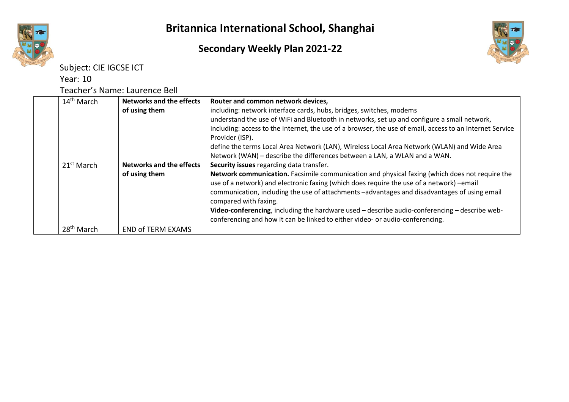#### **Secondary Weekly Plan 2021-22**





Year: 10

Teacher's Name: Laurence Bell

| 14 <sup>th</sup> March | <b>Networks and the effects</b> | Router and common network devices,                                                                                                                                                                                                                                                                                                                                                                                                                                                                    |
|------------------------|---------------------------------|-------------------------------------------------------------------------------------------------------------------------------------------------------------------------------------------------------------------------------------------------------------------------------------------------------------------------------------------------------------------------------------------------------------------------------------------------------------------------------------------------------|
|                        | of using them                   | including: network interface cards, hubs, bridges, switches, modems                                                                                                                                                                                                                                                                                                                                                                                                                                   |
|                        |                                 | understand the use of WiFi and Bluetooth in networks, set up and configure a small network,                                                                                                                                                                                                                                                                                                                                                                                                           |
|                        |                                 | including: access to the internet, the use of a browser, the use of email, access to an Internet Service<br>Provider (ISP).                                                                                                                                                                                                                                                                                                                                                                           |
|                        |                                 | define the terms Local Area Network (LAN), Wireless Local Area Network (WLAN) and Wide Area                                                                                                                                                                                                                                                                                                                                                                                                           |
|                        |                                 | Network (WAN) - describe the differences between a LAN, a WLAN and a WAN.                                                                                                                                                                                                                                                                                                                                                                                                                             |
| 21 <sup>st</sup> March | <b>Networks and the effects</b> | Security issues regarding data transfer.                                                                                                                                                                                                                                                                                                                                                                                                                                                              |
|                        | of using them                   | Network communication. Facsimile communication and physical faxing (which does not require the<br>use of a network) and electronic faxing (which does require the use of a network) -email<br>communication, including the use of attachments -advantages and disadvantages of using email<br>compared with faxing.<br>Video-conferencing, including the hardware used – describe audio-conferencing – describe web-<br>conferencing and how it can be linked to either video- or audio-conferencing. |
| 28 <sup>th</sup> March | <b>END of TERM EXAMS</b>        |                                                                                                                                                                                                                                                                                                                                                                                                                                                                                                       |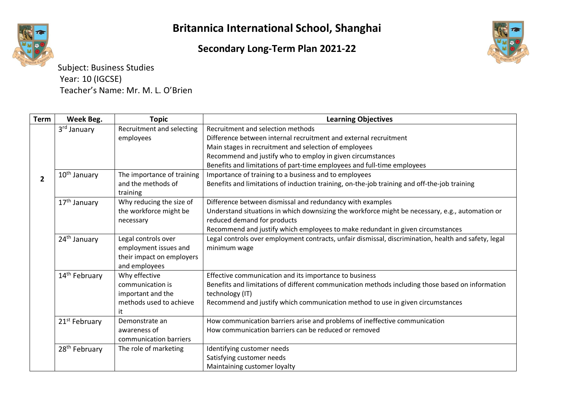## **Secondary Long-Term Plan 2021-22**



Subject: Business Studies Year: 10 (IGCSE) Teacher's Name: Mr. M. L. O'Brien

| Term           | Week Beg.                 | <b>Topic</b>                   | <b>Learning Objectives</b>                                                                           |
|----------------|---------------------------|--------------------------------|------------------------------------------------------------------------------------------------------|
|                | 3 <sup>rd</sup> January   | Recruitment and selecting      | Recruitment and selection methods                                                                    |
|                |                           | employees                      | Difference between internal recruitment and external recruitment                                     |
|                |                           |                                | Main stages in recruitment and selection of employees                                                |
|                |                           |                                | Recommend and justify who to employ in given circumstances                                           |
|                |                           |                                | Benefits and limitations of part-time employees and full-time employees                              |
| $\overline{2}$ | 10 <sup>th</sup> January  | The importance of training     | Importance of training to a business and to employees                                                |
|                |                           | and the methods of<br>training | Benefits and limitations of induction training, on-the-job training and off-the-job training         |
|                | 17 <sup>th</sup> January  | Why reducing the size of       | Difference between dismissal and redundancy with examples                                            |
|                |                           | the workforce might be         | Understand situations in which downsizing the workforce might be necessary, e.g., automation or      |
|                |                           | necessary                      | reduced demand for products                                                                          |
|                |                           |                                | Recommend and justify which employees to make redundant in given circumstances                       |
|                | 24 <sup>th</sup> January  | Legal controls over            | Legal controls over employment contracts, unfair dismissal, discrimination, health and safety, legal |
|                |                           | employment issues and          | minimum wage                                                                                         |
|                |                           | their impact on employers      |                                                                                                      |
|                |                           | and employees                  |                                                                                                      |
|                | 14 <sup>th</sup> February | Why effective                  | Effective communication and its importance to business                                               |
|                |                           | communication is               | Benefits and limitations of different communication methods including those based on information     |
|                |                           | important and the              | technology (IT)                                                                                      |
|                |                           | methods used to achieve        | Recommend and justify which communication method to use in given circumstances                       |
|                |                           | it                             |                                                                                                      |
|                | 21 <sup>st</sup> February | Demonstrate an                 | How communication barriers arise and problems of ineffective communication                           |
|                |                           | awareness of                   | How communication barriers can be reduced or removed                                                 |
|                |                           | communication barriers         |                                                                                                      |
|                | 28 <sup>th</sup> February | The role of marketing          | Identifying customer needs                                                                           |
|                |                           |                                | Satisfying customer needs                                                                            |
|                |                           |                                | Maintaining customer loyalty                                                                         |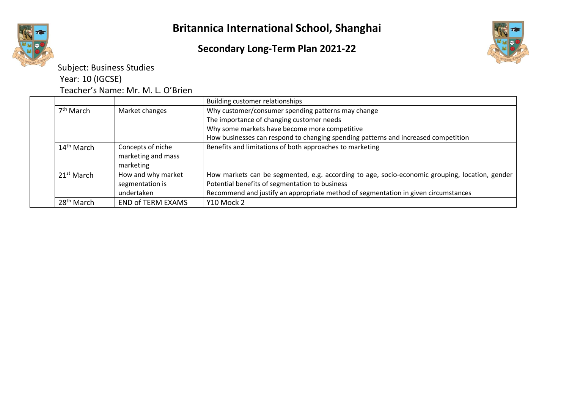

Subject: Business Studies

Year: 10 (IGCSE)

Teacher's Name: Mr. M. L. O'Brien

|  |                        |                          | Building customer relationships                                                                |
|--|------------------------|--------------------------|------------------------------------------------------------------------------------------------|
|  | 7 <sup>th</sup> March  | Market changes           | Why customer/consumer spending patterns may change                                             |
|  |                        |                          | The importance of changing customer needs                                                      |
|  |                        |                          | Why some markets have become more competitive                                                  |
|  |                        |                          | How businesses can respond to changing spending patterns and increased competition             |
|  | $14th$ March           | Concepts of niche        | Benefits and limitations of both approaches to marketing                                       |
|  |                        | marketing and mass       |                                                                                                |
|  |                        | marketing                |                                                                                                |
|  | 21 <sup>st</sup> March | How and why market       | How markets can be segmented, e.g. according to age, socio-economic grouping, location, gender |
|  |                        | segmentation is          | Potential benefits of segmentation to business                                                 |
|  |                        | undertaken               | Recommend and justify an appropriate method of segmentation in given circumstances             |
|  | $28th$ March           | <b>END of TERM EXAMS</b> | Y10 Mock 2                                                                                     |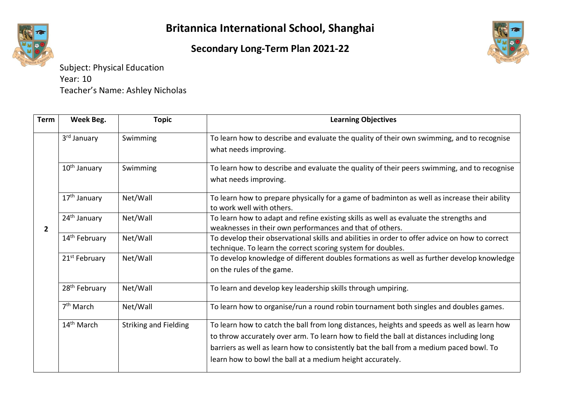# **Secondary Long-Term Plan 2021-22**



Subject: Physical Education Year: 10 Teacher's Name: Ashley Nicholas

| <b>Term</b>    | Week Beg.                 | <b>Topic</b>                 | <b>Learning Objectives</b>                                                                                                                                                                                                                                                                                                                      |
|----------------|---------------------------|------------------------------|-------------------------------------------------------------------------------------------------------------------------------------------------------------------------------------------------------------------------------------------------------------------------------------------------------------------------------------------------|
|                | 3 <sup>rd</sup> January   | Swimming                     | To learn how to describe and evaluate the quality of their own swimming, and to recognise<br>what needs improving.                                                                                                                                                                                                                              |
|                | 10 <sup>th</sup> January  | Swimming                     | To learn how to describe and evaluate the quality of their peers swimming, and to recognise<br>what needs improving.                                                                                                                                                                                                                            |
|                | 17 <sup>th</sup> January  | Net/Wall                     | To learn how to prepare physically for a game of badminton as well as increase their ability<br>to work well with others.                                                                                                                                                                                                                       |
| $\overline{2}$ | 24 <sup>th</sup> January  | Net/Wall                     | To learn how to adapt and refine existing skills as well as evaluate the strengths and<br>weaknesses in their own performances and that of others.                                                                                                                                                                                              |
|                | 14 <sup>th</sup> February | Net/Wall                     | To develop their observational skills and abilities in order to offer advice on how to correct<br>technique. To learn the correct scoring system for doubles.                                                                                                                                                                                   |
|                | 21 <sup>st</sup> February | Net/Wall                     | To develop knowledge of different doubles formations as well as further develop knowledge<br>on the rules of the game.                                                                                                                                                                                                                          |
|                | 28 <sup>th</sup> February | Net/Wall                     | To learn and develop key leadership skills through umpiring.                                                                                                                                                                                                                                                                                    |
|                | 7 <sup>th</sup> March     | Net/Wall                     | To learn how to organise/run a round robin tournament both singles and doubles games.                                                                                                                                                                                                                                                           |
|                | 14 <sup>th</sup> March    | <b>Striking and Fielding</b> | To learn how to catch the ball from long distances, heights and speeds as well as learn how<br>to throw accurately over arm. To learn how to field the ball at distances including long<br>barriers as well as learn how to consistently bat the ball from a medium paced bowl. To<br>learn how to bowl the ball at a medium height accurately. |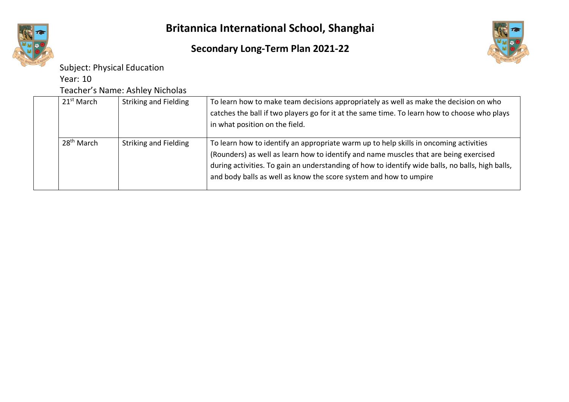

# **Secondary Long-Term Plan 2021-22**



Subject: Physical Education

Year: 10

Teacher's Name: Ashley Nicholas

|  | 21 <sup>st</sup> March | <b>Striking and Fielding</b> | To learn how to make team decisions appropriately as well as make the decision on who<br>catches the ball if two players go for it at the same time. To learn how to choose who plays<br>in what position on the field.                                                                                                                                 |
|--|------------------------|------------------------------|---------------------------------------------------------------------------------------------------------------------------------------------------------------------------------------------------------------------------------------------------------------------------------------------------------------------------------------------------------|
|  | 28 <sup>th</sup> March | <b>Striking and Fielding</b> | To learn how to identify an appropriate warm up to help skills in oncoming activities<br>(Rounders) as well as learn how to identify and name muscles that are being exercised<br>during activities. To gain an understanding of how to identify wide balls, no balls, high balls,<br>and body balls as well as know the score system and how to umpire |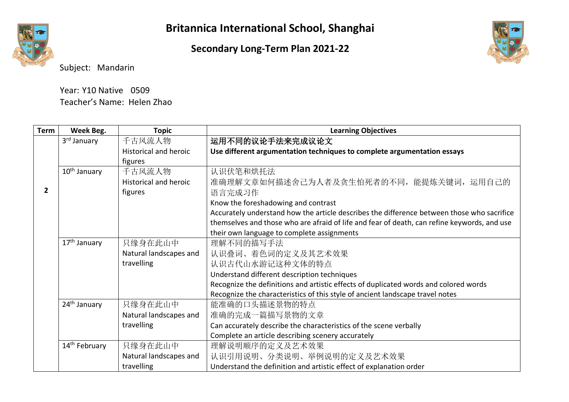# **Secondary Long-Term Plan 2021-22**



Subject: Mandarin

| Year: Y10 Native 0509      |  |
|----------------------------|--|
| Teacher's Name: Helen Zhao |  |

| Term         | Week Beg.                 | <b>Topic</b>                 | <b>Learning Objectives</b>                                                                  |
|--------------|---------------------------|------------------------------|---------------------------------------------------------------------------------------------|
|              | 3 <sup>rd</sup> January   | 千古风流人物                       | 运用不同的议论手法来完成议论文                                                                             |
|              |                           | <b>Historical and heroic</b> | Use different argumentation techniques to complete argumentation essays                     |
|              |                           | figures                      |                                                                                             |
|              | 10 <sup>th</sup> January  | 千古风流人物                       | 认识伏笔和烘托法                                                                                    |
|              |                           | <b>Historical and heroic</b> | 准确理解文章如何描述舍己为人者及贪生怕死者的不同, 能提炼关键词, 运用自己的                                                     |
| $\mathbf{2}$ |                           | figures                      | 语言完成习作                                                                                      |
|              |                           |                              | Know the foreshadowing and contrast                                                         |
|              |                           |                              | Accurately understand how the article describes the difference between those who sacrifice  |
|              |                           |                              | themselves and those who are afraid of life and fear of death, can refine keywords, and use |
|              |                           |                              | their own language to complete assignments                                                  |
|              | 17 <sup>th</sup> January  | 只缘身在此山中                      | 理解不同的描写手法                                                                                   |
|              |                           | Natural landscapes and       | 认识叠词、着色词的定义及其艺术效果                                                                           |
|              |                           | travelling                   | 认识古代山水游记这种文体的特点                                                                             |
|              |                           |                              | Understand different description techniques                                                 |
|              |                           |                              | Recognize the definitions and artistic effects of duplicated words and colored words        |
|              |                           |                              | Recognize the characteristics of this style of ancient landscape travel notes               |
|              | 24 <sup>th</sup> January  | 只缘身在此山中                      | 能准确的口头描述景物的特点                                                                               |
|              |                           | Natural landscapes and       | 准确的完成一篇描写景物的文章                                                                              |
|              |                           | travelling                   | Can accurately describe the characteristics of the scene verbally                           |
|              |                           |                              | Complete an article describing scenery accurately                                           |
|              | 14 <sup>th</sup> February | 只缘身在此山中                      | 理解说明顺序的定义及艺术效果                                                                              |
|              |                           | Natural landscapes and       | 认识引用说明、分类说明、举例说明的定义及艺术效果                                                                    |
|              |                           | travelling                   | Understand the definition and artistic effect of explanation order                          |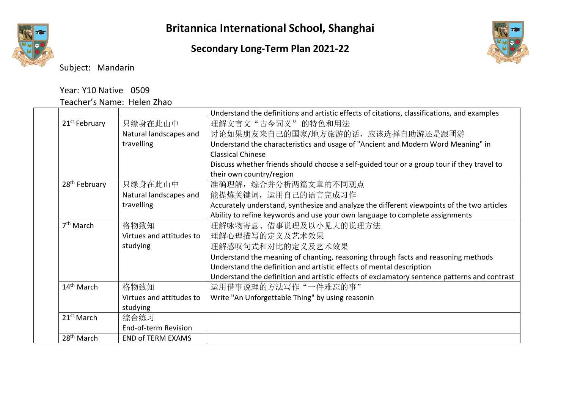**Secondary Long-Term Plan 2021-22**



Subject: Mandarin

#### Year: Y10 Native 0509 Teacher's Name: Helen Zhao

|                           |                          | Understand the definitions and artistic effects of citations, classifications, and examples  |
|---------------------------|--------------------------|----------------------------------------------------------------------------------------------|
| 21 <sup>st</sup> February | 只缘身在此山中                  | 理解文言文"古今词义"的特色和用法                                                                            |
|                           | Natural landscapes and   | 讨论如果朋友来自己的国家/地方旅游的话,应该选择自助游还是跟团游                                                             |
|                           | travelling               | Understand the characteristics and usage of "Ancient and Modern Word Meaning" in             |
|                           |                          | <b>Classical Chinese</b>                                                                     |
|                           |                          | Discuss whether friends should choose a self-guided tour or a group tour if they travel to   |
|                           |                          | their own country/region                                                                     |
| 28 <sup>th</sup> February | 只缘身在此山中                  | 准确理解, 综合并分析两篇文章的不同观点                                                                         |
|                           | Natural landscapes and   | 能提炼关键词, 运用自己的语言完成习作                                                                          |
|                           | travelling               | Accurately understand, synthesize and analyze the different viewpoints of the two articles   |
|                           |                          | Ability to refine keywords and use your own language to complete assignments                 |
| 7 <sup>th</sup> March     | 格物致知                     | 理解咏物寄意、借事说理及以小见大的说理方法                                                                        |
|                           | Virtues and attitudes to | 理解心理描写的定义及艺术效果                                                                               |
|                           | studying                 | 理解感叹句式和对比的定义及艺术效果                                                                            |
|                           |                          | Understand the meaning of chanting, reasoning through facts and reasoning methods            |
|                           |                          | Understand the definition and artistic effects of mental description                         |
|                           |                          | Understand the definition and artistic effects of exclamatory sentence patterns and contrast |
| 14 <sup>th</sup> March    | 格物致知                     | 运用借事说理的方法写作"一件难忘的事"                                                                          |
|                           | Virtues and attitudes to | Write "An Unforgettable Thing" by using reasonin                                             |
|                           | studying                 |                                                                                              |
| 21 <sup>st</sup> March    | 综合练习                     |                                                                                              |
|                           | End-of-term Revision     |                                                                                              |
| 28 <sup>th</sup> March    | <b>END of TERM EXAMS</b> |                                                                                              |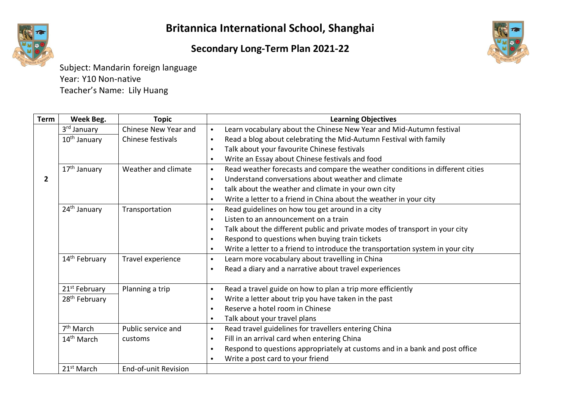# **Secondary Long-Term Plan 2021-22**



Subject: Mandarin foreign language Year: Y10 Non-native Teacher's Name: Lily Huang

| <b>Term</b>    | Week Beg.                 | <b>Topic</b>                | <b>Learning Objectives</b>                                                                  |  |
|----------------|---------------------------|-----------------------------|---------------------------------------------------------------------------------------------|--|
|                | 3rd January               | Chinese New Year and        | Learn vocabulary about the Chinese New Year and Mid-Autumn festival<br>$\bullet$            |  |
|                | $10th$ January            | Chinese festivals           | Read a blog about celebrating the Mid-Autumn Festival with family<br>$\bullet$              |  |
|                |                           |                             | Talk about your favourite Chinese festivals<br>$\bullet$                                    |  |
|                |                           |                             | Write an Essay about Chinese festivals and food<br>$\bullet$                                |  |
|                | 17 <sup>th</sup> January  | Weather and climate         | Read weather forecasts and compare the weather conditions in different cities<br>$\bullet$  |  |
| $\overline{2}$ |                           |                             | Understand conversations about weather and climate<br>$\bullet$                             |  |
|                |                           |                             | talk about the weather and climate in your own city<br>$\bullet$                            |  |
|                |                           |                             | Write a letter to a friend in China about the weather in your city<br>$\bullet$             |  |
|                | 24 <sup>th</sup> January  | Transportation              | Read guidelines on how tou get around in a city<br>$\bullet$                                |  |
|                |                           |                             | Listen to an announcement on a train<br>$\bullet$                                           |  |
|                |                           |                             | Talk about the different public and private modes of transport in your city<br>$\bullet$    |  |
|                |                           |                             | Respond to questions when buying train tickets<br>$\bullet$                                 |  |
|                |                           |                             | Write a letter to a friend to introduce the transportation system in your city<br>$\bullet$ |  |
|                | 14 <sup>th</sup> February | Travel experience           | Learn more vocabulary about travelling in China<br>$\bullet$                                |  |
|                |                           |                             | Read a diary and a narrative about travel experiences<br>$\bullet$                          |  |
|                |                           |                             |                                                                                             |  |
|                | 21 <sup>st</sup> February | Planning a trip             | Read a travel guide on how to plan a trip more efficiently<br>$\bullet$                     |  |
|                | 28 <sup>th</sup> February |                             | Write a letter about trip you have taken in the past<br>$\bullet$                           |  |
|                |                           |                             | Reserve a hotel room in Chinese<br>$\bullet$                                                |  |
|                |                           |                             | Talk about your travel plans<br>$\bullet$                                                   |  |
|                | 7 <sup>th</sup> March     | Public service and          | Read travel guidelines for travellers entering China<br>$\bullet$                           |  |
|                | 14 <sup>th</sup> March    | customs                     | Fill in an arrival card when entering China<br>$\bullet$                                    |  |
|                |                           |                             | Respond to questions appropriately at customs and in a bank and post office<br>$\bullet$    |  |
|                |                           |                             | Write a post card to your friend<br>$\bullet$                                               |  |
|                | 21 <sup>st</sup> March    | <b>End-of-unit Revision</b> |                                                                                             |  |